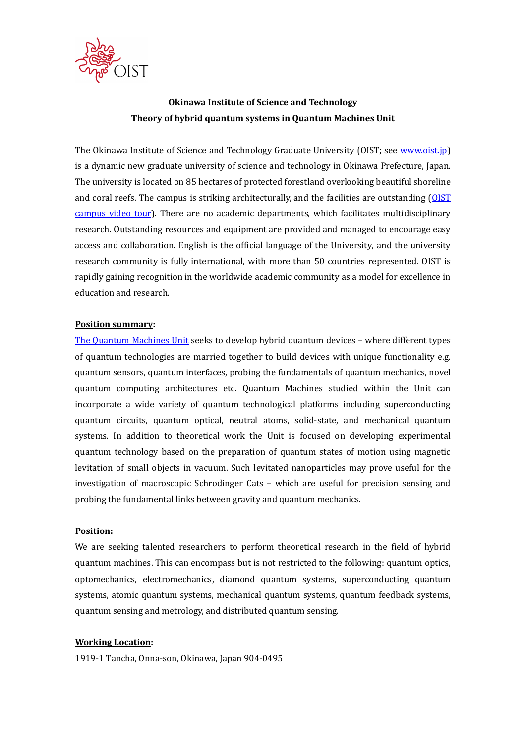

# Okinawa Institute of Science and Technology Theory of hybrid quantum systems in Quantum Machines Unit

The Okinawa Institute of Science and Technology Graduate University (OIST; see www.oist.jp) is a dynamic new graduate university of science and technology in Okinawa Prefecture, Japan. The university is located on 85 hectares of protected forestland overlooking beautiful shoreline and coral reefs. The campus is striking architecturally, and the facilities are outstanding (OIST campus video tour). There are no academic departments, which facilitates multidisciplinary research. Outstanding resources and equipment are provided and managed to encourage easy access and collaboration. English is the official language of the University, and the university research community is fully international, with more than 50 countries represented. OIST is rapidly gaining recognition in the worldwide academic community as a model for excellence in education and research.

#### Position summary:

The Quantum Machines Unit seeks to develop hybrid quantum devices – where different types of quantum technologies are married together to build devices with unique functionality e.g. quantum sensors, quantum interfaces, probing the fundamentals of quantum mechanics, novel quantum computing architectures etc. Quantum Machines studied within the Unit can incorporate a wide variety of quantum technological platforms including superconducting quantum circuits, quantum optical, neutral atoms, solid-state, and mechanical quantum systems. In addition to theoretical work the Unit is focused on developing experimental quantum technology based on the preparation of quantum states of motion using magnetic levitation of small objects in vacuum. Such levitated nanoparticles may prove useful for the investigation of macroscopic Schrodinger Cats – which are useful for precision sensing and probing the fundamental links between gravity and quantum mechanics.

#### Position:

We are seeking talented researchers to perform theoretical research in the field of hybrid quantum machines. This can encompass but is not restricted to the following: quantum optics, optomechanics, electromechanics, diamond quantum systems, superconducting quantum systems, atomic quantum systems, mechanical quantum systems, quantum feedback systems, quantum sensing and metrology, and distributed quantum sensing.

#### Working Location:

1919-1 Tancha, Onna-son, Okinawa, Japan 904-0495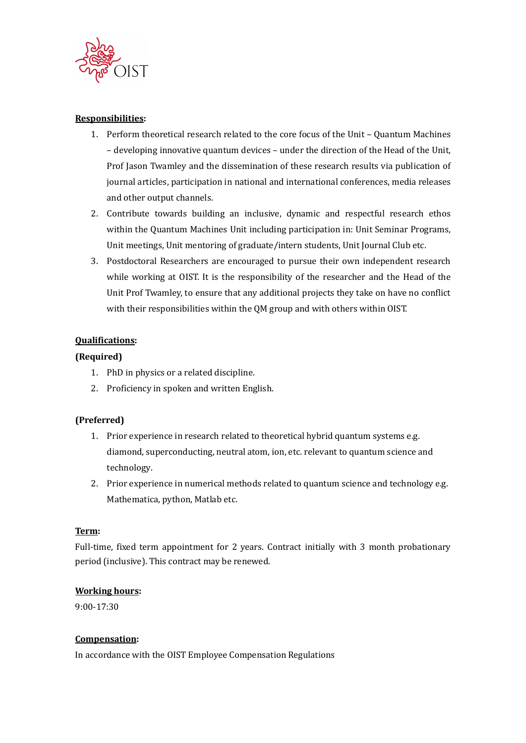

### Responsibilities:

- 1. Perform theoretical research related to the core focus of the Unit Quantum Machines – developing innovative quantum devices – under the direction of the Head of the Unit, Prof Jason Twamley and the dissemination of these research results via publication of journal articles, participation in national and international conferences, media releases and other output channels.
- 2. Contribute towards building an inclusive, dynamic and respectful research ethos within the Quantum Machines Unit including participation in: Unit Seminar Programs, Unit meetings, Unit mentoring of graduate/intern students, Unit Journal Club etc.
- 3. Postdoctoral Researchers are encouraged to pursue their own independent research while working at OIST. It is the responsibility of the researcher and the Head of the Unit Prof Twamley, to ensure that any additional projects they take on have no conflict with their responsibilities within the QM group and with others within OIST.

# Qualifications:

### (Required)

- 1. PhD in physics or a related discipline.
- 2. Proficiency in spoken and written English.

### (Preferred)

- 1. Prior experience in research related to theoretical hybrid quantum systems e.g. diamond, superconducting, neutral atom, ion, etc. relevant to quantum science and technology.
- 2. Prior experience in numerical methods related to quantum science and technology e.g. Mathematica, python, Matlab etc.

### Term:

Full-time, fixed term appointment for 2 years. Contract initially with 3 month probationary period (inclusive). This contract may be renewed.

### Working hours:

9:00-17:30

### Compensation:

In accordance with the OIST Employee Compensation Regulations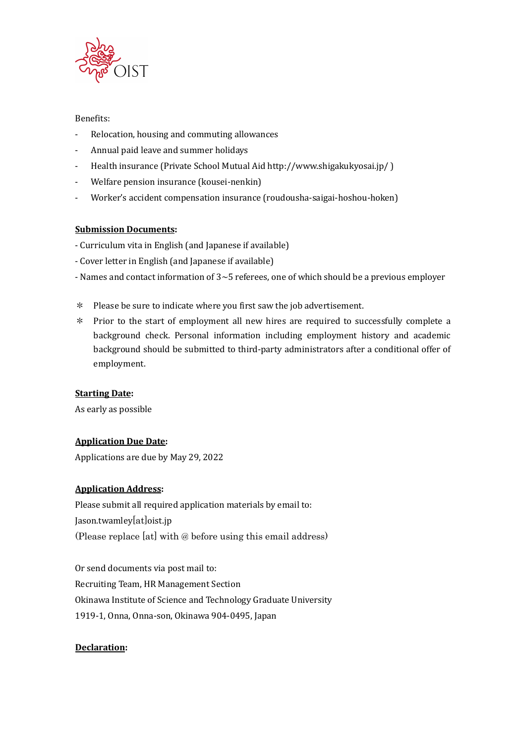

# Benefits:

- Relocation, housing and commuting allowances
- Annual paid leave and summer holidays
- Health insurance (Private School Mutual Aid http://www.shigakukyosai.jp/ )
- Welfare pension insurance (kousei-nenkin)
- Worker's accident compensation insurance (roudousha-saigai-hoshou-hoken)

# Submission Documents:

- Curriculum vita in English (and Japanese if available)
- Cover letter in English (and Japanese if available)
- Names and contact information of  $3~5$  referees, one of which should be a previous employer
- \* Please be sure to indicate where you first saw the job advertisement.
- \* Prior to the start of employment all new hires are required to successfully complete a background check. Personal information including employment history and academic background should be submitted to third-party administrators after a conditional offer of employment.

### Starting Date:

As early as possible

# Application Due Date:

Applications are due by May 29, 2022

# Application Address:

Please submit all required application materials by email to: Jason.twamley[at]oist.jp (Please replace [at] with @ before using this email address)

Or send documents via post mail to: Recruiting Team, HR Management Section Okinawa Institute of Science and Technology Graduate University 1919-1, Onna, Onna-son, Okinawa 904-0495, Japan

# Declaration: